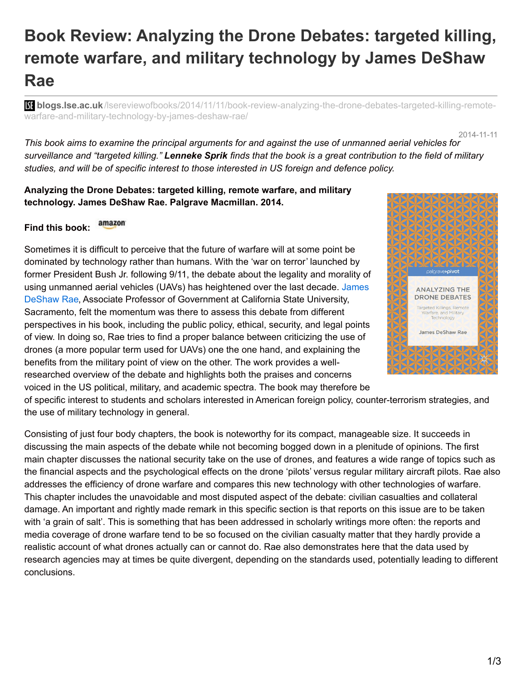## **Book Review: Analyzing the Drone Debates: targeted killing, remote warfare, and military technology by James DeShaw Rae**

**B: blogs.lse.ac.uk**[/lsereviewofbooks/2014/11/11/book-review-analyzing-the-drone-debates-targeted-killing-remote](http://blogs.lse.ac.uk/lsereviewofbooks/2014/11/11/book-review-analyzing-the-drone-debates-targeted-killing-remote-warfare-and-military-technology-by-james-deshaw-rae/)warfare-and-military-technology-by-james-deshaw-rae/

2014-11-11

This book aims to examine the principal arguments for and against the use of unmanned aerial vehicles for surveillance and "targeted killing." Lenneke Sprik finds that the book is a great contribution to the field of military *studies, and will be of specific interest to those interested in US foreign and defence policy.*

**Analyzing the Drone Debates: targeted killing, remote warfare, and military technology. James DeShaw Rae. Palgrave Macmillan. 2014.**

amazon **Find this book:**

Sometimes it is difficult to perceive that the future of warfare will at some point be dominated by technology rather than humans. With the 'war on terror' launched by former President Bush Jr. following 9/11, the debate about the legality and morality of using unmanned aerial vehicles (UAVs) has heightened over the last decade. James DeShaw Rae, Associate Professor of [Government](http://www.csus.edu/indiv/r/raej/) at California State University, Sacramento, felt the momentum was there to assess this debate from different perspectives in his book, including the public policy, ethical, security, and legal points of view. In doing so, Rae tries to find a proper balance between criticizing the use of drones (a more popular term used for UAVs) one the one hand, and explaining the benefits from the military point of view on the other. The work provides a wellresearched overview of the debate and highlights both the praises and concerns voiced in the US political, military, and academic spectra. The book may therefore be



of specific interest to students and scholars interested in American foreign policy, counter-terrorism strategies, and the use of military technology in general.

Consisting of just four body chapters, the book is noteworthy for its compact, manageable size. It succeeds in discussing the main aspects of the debate while not becoming bogged down in a plenitude of opinions. The first main chapter discusses the national security take on the use of drones, and features a wide range of topics such as the financial aspects and the psychological effects on the drone 'pilots' versus regular military aircraft pilots. Rae also addresses the efficiency of drone warfare and compares this new technology with other technologies of warfare. This chapter includes the unavoidable and most disputed aspect of the debate: civilian casualties and collateral damage. An important and rightly made remark in this specific section is that reports on this issue are to be taken with 'a grain of salt'. This is something that has been addressed in scholarly writings more often: the reports and media coverage of drone warfare tend to be so focused on the civilian casualty matter that they hardly provide a realistic account of what drones actually can or cannot do. Rae also demonstrates here that the data used by research agencies may at times be quite divergent, depending on the standards used, potentially leading to different conclusions.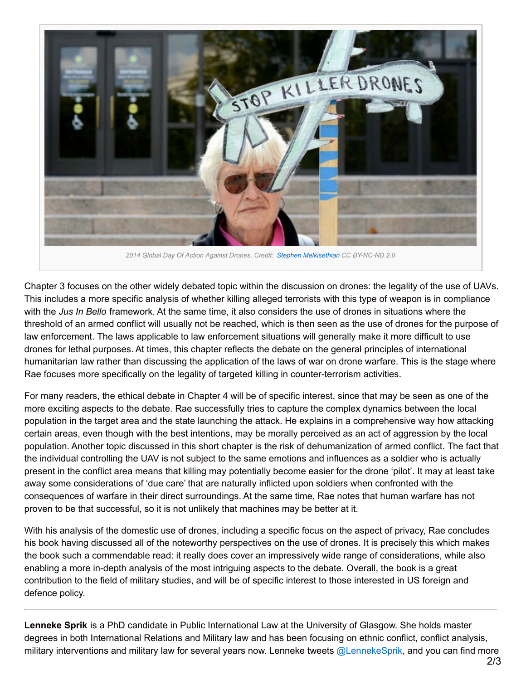

Chapter 3 focuses on the other widely debated topic within the discussion on drones: the legality of the use of UAVs. This includes a more specific analysis of whether killing alleged terrorists with this type of weapon is in compliance with the *Jus In Bello* framework. At the same time, it also considers the use of drones in situations where the threshold of an armed conflict will usually not be reached, which is then seen as the use of drones for the purpose of law enforcement. The laws applicable to law enforcement situations will generally make it more difficult to use drones for lethal purposes. At times, this chapter reflects the debate on the general principles of international humanitarian law rather than discussing the application of the laws of war on drone warfare. This is the stage where Rae focuses more specifically on the legality of targeted killing in counter-terrorism activities.

For many readers, the ethical debate in Chapter 4 will be of specific interest, since that may be seen as one of the more exciting aspects to the debate. Rae successfully tries to capture the complex dynamics between the local population in the target area and the state launching the attack. He explains in a comprehensive way how attacking certain areas, even though with the best intentions, may be morally perceived as an act of aggression by the local population. Another topic discussed in this short chapter is the risk of dehumanization of armed conflict. The fact that the individual controlling the UAV is not subject to the same emotions and influences as a soldier who is actually present in the conflict area means that killing may potentially become easier for the drone 'pilot'. It may at least take away some considerations of 'due care' that are naturally inflicted upon soldiers when confronted with the consequences of warfare in their direct surroundings. At the same time, Rae notes that human warfare has not proven to be that successful, so it is not unlikely that machines may be better at it.

With his analysis of the domestic use of drones, including a specific focus on the aspect of privacy, Rae concludes his book having discussed all of the noteworthy perspectives on the use of drones. It is precisely this which makes the book such a commendable read: it really does cover an impressively wide range of considerations, while also enabling a more in-depth analysis of the most intriguing aspects to the debate. Overall, the book is a great contribution to the field of military studies, and will be of specific interest to those interested in US foreign and defence policy.

**Lenneke Sprik** is a PhD candidate in Public International Law at the University of Glasgow. She holds master degrees in both International Relations and Military law and has been focusing on ethnic conflict, conflict analysis, military interventions and military law for several years now. Lenneke tweets [@LennekeSprik](https://twitter.com/LennekeSprik), and you can find more